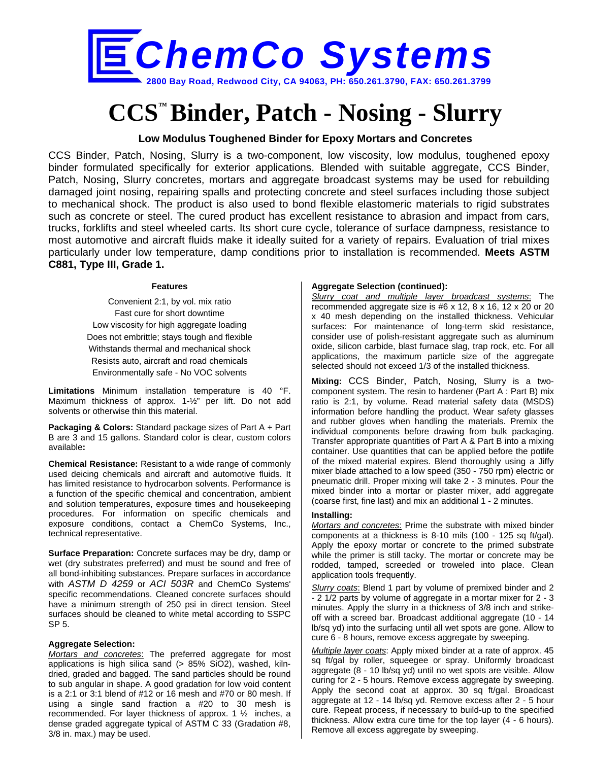

# **CCS™ Binder, Patch - Nosing - Slurry**

## **Low Modulus Toughened Binder for Epoxy Mortars and Concretes**

CCS Binder, Patch, Nosing, Slurry is a two-component, low viscosity, low modulus, toughened epoxy binder formulated specifically for exterior applications. Blended with suitable aggregate, CCS Binder, Patch, Nosing, Slurry concretes, mortars and aggregate broadcast systems may be used for rebuilding damaged joint nosing, repairing spalls and protecting concrete and steel surfaces including those subject to mechanical shock. The product is also used to bond flexible elastomeric materials to rigid substrates such as concrete or steel. The cured product has excellent resistance to abrasion and impact from cars, trucks, forklifts and steel wheeled carts. Its short cure cycle, tolerance of surface dampness, resistance to most automotive and aircraft fluids make it ideally suited for a variety of repairs. Evaluation of trial mixes particularly under low temperature, damp conditions prior to installation is recommended. **Meets ASTM C881, Type III, Grade 1.**

#### **Features**

Convenient 2:1, by vol. mix ratio Fast cure for short downtime Low viscosity for high aggregate loading Does not embrittle; stays tough and flexible Withstands thermal and mechanical shock Resists auto, aircraft and road chemicals Environmentally safe - No VOC solvents

**Limitations** Minimum installation temperature is 40 °F. Maximum thickness of approx. 1-½" per lift. Do not add solvents or otherwise thin this material.

**Packaging & Colors:** Standard package sizes of Part A + Part B are 3 and 15 gallons. Standard color is clear, custom colors available**:**

**Chemical Resistance:** Resistant to a wide range of commonly used deicing chemicals and aircraft and automotive fluids. It has limited resistance to hydrocarbon solvents. Performance is a function of the specific chemical and concentration, ambient and solution temperatures, exposure times and housekeeping procedures. For information on specific chemicals and exposure conditions, contact a ChemCo Systems, Inc., technical representative.

**Surface Preparation:** Concrete surfaces may be dry, damp or wet (dry substrates preferred) and must be sound and free of all bond-inhibiting substances. Prepare surfaces in accordance with *ASTM D 4259* or *ACI 503R* and ChemCo Systems' specific recommendations. Cleaned concrete surfaces should have a minimum strength of 250 psi in direct tension. Steel surfaces should be cleaned to white metal according to SSPC SP 5.

#### **Aggregate Selection:**

*Mortars and concretes*: The preferred aggregate for most applications is high silica sand (> 85% SiO2), washed, kilndried, graded and bagged. The sand particles should be round to sub angular in shape. A good gradation for low void content is a 2:1 or 3:1 blend of #12 or 16 mesh and #70 or 80 mesh. If using a single sand fraction a #20 to 30 mesh is recommended. For layer thickness of approx. 1 ½ inches, a dense graded aggregate typical of ASTM C 33 (Gradation #8, 3/8 in. max.) may be used.

#### **Aggregate Selection (continued):**

*Slurry coat and multiple layer broadcast systems*: The recommended aggregate size is #6 x 12, 8 x 16, 12 x 20 or 20 x 40 mesh depending on the installed thickness. Vehicular surfaces: For maintenance of long-term skid resistance, consider use of polish-resistant aggregate such as aluminum oxide, silicon carbide, blast furnace slag, trap rock, etc. For all applications, the maximum particle size of the aggregate selected should not exceed 1/3 of the installed thickness.

**Mixing:** CCS Binder, Patch, Nosing, Slurry is a twocomponent system. The resin to hardener (Part A : Part B) mix ratio is 2:1, by volume. Read material safety data (MSDS) information before handling the product. Wear safety glasses and rubber gloves when handling the materials. Premix the individual components before drawing from bulk packaging. Transfer appropriate quantities of Part A & Part B into a mixing container. Use quantities that can be applied before the potlife of the mixed material expires. Blend thoroughly using a Jiffy mixer blade attached to a low speed (350 - 750 rpm) electric or pneumatic drill. Proper mixing will take 2 - 3 minutes. Pour the mixed binder into a mortar or plaster mixer, add aggregate (coarse first, fine last) and mix an additional 1 - 2 minutes.

#### **Installing:**

*Mortars and concretes*: Prime the substrate with mixed binder components at a thickness is 8-10 mils (100 - 125 sq ft/gal). Apply the epoxy mortar or concrete to the primed substrate while the primer is still tacky. The mortar or concrete may be rodded, tamped, screeded or troweled into place. Clean application tools frequently.

*Slurry coats*: Blend 1 part by volume of premixed binder and 2 - 2 1/2 parts by volume of aggregate in a mortar mixer for 2 - 3 minutes. Apply the slurry in a thickness of 3/8 inch and strikeoff with a screed bar. Broadcast additional aggregate (10 - 14 lb/sq yd) into the surfacing until all wet spots are gone. Allow to cure 6 - 8 hours, remove excess aggregate by sweeping.

*Multiple layer coats*: Apply mixed binder at a rate of approx. 45 sq ft/gal by roller, squeegee or spray. Uniformly broadcast aggregate (8 - 10 lb/sq yd) until no wet spots are visible. Allow curing for 2 - 5 hours. Remove excess aggregate by sweeping. Apply the second coat at approx. 30 sq ft/gal. Broadcast aggregate at 12 - 14 lb/sq yd. Remove excess after 2 - 5 hour cure. Repeat process, if necessary to build-up to the specified thickness. Allow extra cure time for the top layer (4 - 6 hours). Remove all excess aggregate by sweeping.